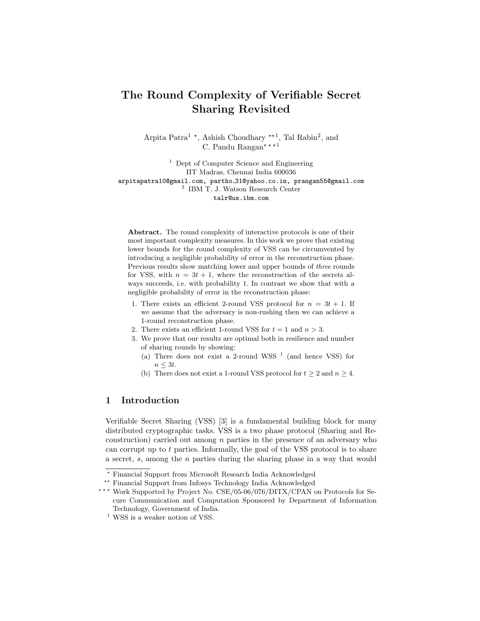# The Round Complexity of Verifiable Secret Sharing Revisited

Arpita Patra<sup>1</sup><sup>\*</sup>, Ashish Choudhary<sup>\*\*1</sup>, Tal Rabin<sup>2</sup>, and C. Pandu Rangan\* \* \* 1

<sup>1</sup> Dept of Computer Science and Engineering IIT Madras, Chennai India 600036 arpitapatra10@gmail.com, partho 31@yahoo.co.in, prangan55@gmail.com 2 IBM T. J. Watson Research Center talr@us.ibm.com

Abstract. The round complexity of interactive protocols is one of their most important complexity measures. In this work we prove that existing lower bounds for the round complexity of VSS can be circumvented by introducing a negligible probability of error in the reconstruction phase. Previous results show matching lower and upper bounds of three rounds for VSS, with  $n = 3t + 1$ , where the reconstruction of the secrets always succeeds, i.e. with probability 1. In contrast we show that with a negligible probability of error in the reconstruction phase:

- 1. There exists an efficient 2-round VSS protocol for  $n = 3t + 1$ . If we assume that the adversary is non-rushing then we can achieve a 1-round reconstruction phase.
- 2. There exists an efficient 1-round VSS for  $t = 1$  and  $n > 3$ .
- 3. We prove that our results are optimal both in resilience and number of sharing rounds by showing:
	- (a) There does not exist a 2-round WSS  $<sup>1</sup>$  (and hence VSS) for</sup>  $n \leq 3t$ .
	- (b) There does not exist a 1-round VSS protocol for  $t \geq 2$  and  $n \geq 4$ .

# 1 Introduction

Verifiable Secret Sharing (VSS) [3] is a fundamental building block for many distributed cryptographic tasks. VSS is a two phase protocol (Sharing and Reconstruction) carried out among  $n$  parties in the presence of an adversary who can corrupt up to  $t$  parties. Informally, the goal of the VSS protocol is to share a secret, s, among the n parties during the sharing phase in a way that would

\*\*\* Work Supported by Project No. CSE/05-06/076/DITX/CPAN on Protocols for Secure Communication and Computation Sponsored by Department of Information Technology, Government of India.

<sup>?</sup> Financial Support from Microsoft Research India Acknowledged

<sup>\*\*</sup> Financial Support from Infosys Technology India Acknowledged

 $^{\rm 1}$  WSS is a weaker notion of VSS.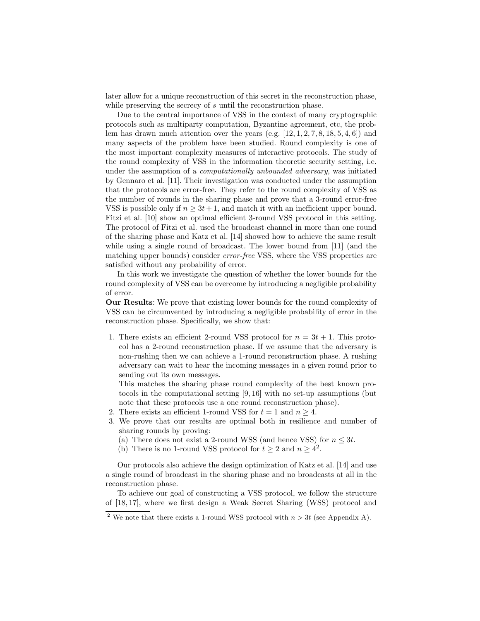later allow for a unique reconstruction of this secret in the reconstruction phase, while preserving the secrecy of s until the reconstruction phase.

Due to the central importance of VSS in the context of many cryptographic protocols such as multiparty computation, Byzantine agreement, etc, the problem has drawn much attention over the years  $(e.g. [12, 1, 2, 7, 8, 18, 5, 4, 6])$  and many aspects of the problem have been studied. Round complexity is one of the most important complexity measures of interactive protocols. The study of the round complexity of VSS in the information theoretic security setting, i.e. under the assumption of a computationally unbounded adversary, was initiated by Gennaro et al. [11]. Their investigation was conducted under the assumption that the protocols are error-free. They refer to the round complexity of VSS as the number of rounds in the sharing phase and prove that a 3-round error-free VSS is possible only if  $n \geq 3t+1$ , and match it with an inefficient upper bound. Fitzi et al. [10] show an optimal efficient 3-round VSS protocol in this setting. The protocol of Fitzi et al. used the broadcast channel in more than one round of the sharing phase and Katz et al. [14] showed how to achieve the same result while using a single round of broadcast. The lower bound from [11] (and the matching upper bounds) consider error-free VSS, where the VSS properties are satisfied without any probability of error.

In this work we investigate the question of whether the lower bounds for the round complexity of VSS can be overcome by introducing a negligible probability of error.

Our Results: We prove that existing lower bounds for the round complexity of VSS can be circumvented by introducing a negligible probability of error in the reconstruction phase. Specifically, we show that:

1. There exists an efficient 2-round VSS protocol for  $n = 3t + 1$ . This protocol has a 2-round reconstruction phase. If we assume that the adversary is non-rushing then we can achieve a 1-round reconstruction phase. A rushing adversary can wait to hear the incoming messages in a given round prior to sending out its own messages.

This matches the sharing phase round complexity of the best known protocols in the computational setting [9, 16] with no set-up assumptions (but note that these protocols use a one round reconstruction phase).

- 2. There exists an efficient 1-round VSS for  $t = 1$  and  $n \ge 4$ .
- 3. We prove that our results are optimal both in resilience and number of sharing rounds by proving:
	- (a) There does not exist a 2-round WSS (and hence VSS) for  $n \leq 3t$ .
	- (b) There is no 1-round VSS protocol for  $t \geq 2$  and  $n \geq 4^2$ .

Our protocols also achieve the design optimization of Katz et al. [14] and use a single round of broadcast in the sharing phase and no broadcasts at all in the reconstruction phase.

To achieve our goal of constructing a VSS protocol, we follow the structure of [18, 17], where we first design a Weak Secret Sharing (WSS) protocol and

<sup>&</sup>lt;sup>2</sup> We note that there exists a 1-round WSS protocol with  $n > 3t$  (see Appendix A).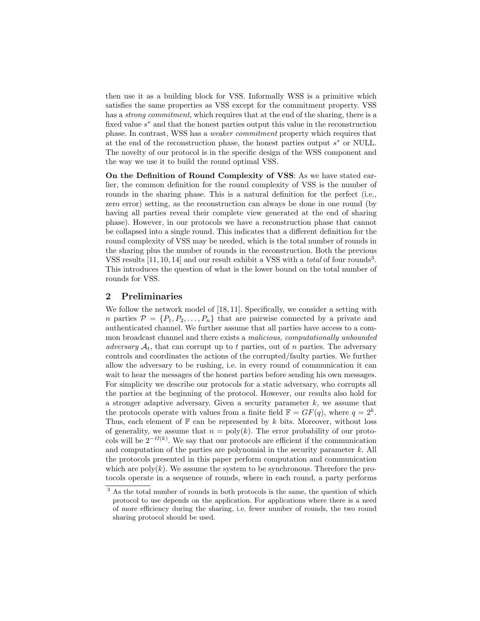then use it as a building block for VSS. Informally WSS is a primitive which satisfies the same properties as VSS except for the commitment property. VSS has a *strong commitment*, which requires that at the end of the sharing, there is a fixed value  $s^*$  and that the honest parties output this value in the reconstruction phase. In contrast, WSS has a weaker commitment property which requires that at the end of the reconstruction phase, the honest parties output  $s^*$  or NULL. The novelty of our protocol is in the specific design of the WSS component and the way we use it to build the round optimal VSS.

On the Definition of Round Complexity of VSS: As we have stated earlier, the common definition for the round complexity of VSS is the number of rounds in the sharing phase. This is a natural definition for the perfect (i.e., zero error) setting, as the reconstruction can always be done in one round (by having all parties reveal their complete view generated at the end of sharing phase). However, in our protocols we have a reconstruction phase that cannot be collapsed into a single round. This indicates that a different definition for the round complexity of VSS may be needed, which is the total number of rounds in the sharing plus the number of rounds in the reconstruction. Both the previous VSS results  $[11, 10, 14]$  and our result exhibit a VSS with a *total* of four rounds<sup>3</sup>. This introduces the question of what is the lower bound on the total number of rounds for VSS.

## 2 Preliminaries

We follow the network model of [18, 11]. Specifically, we consider a setting with n parties  $\mathcal{P} = \{P_1, P_2, \ldots, P_n\}$  that are pairwise connected by a private and authenticated channel. We further assume that all parties have access to a common broadcast channel and there exists a malicious, computationally unbounded adversary  $A_t$ , that can corrupt up to t parties, out of n parties. The adversary controls and coordinates the actions of the corrupted/faulty parties. We further allow the adversary to be rushing, i.e. in every round of communication it can wait to hear the messages of the honest parties before sending his own messages. For simplicity we describe our protocols for a static adversary, who corrupts all the parties at the beginning of the protocol. However, our results also hold for a stronger adaptive adversary. Given a security parameter  $k$ , we assume that the protocols operate with values from a finite field  $\mathbb{F} = GF(q)$ , where  $q = 2^k$ . Thus, each element of  $\mathbb F$  can be represented by k bits. Moreover, without loss of generality, we assume that  $n = poly(k)$ . The error probability of our protocols will be  $2^{-\Omega(k)}$ . We say that our protocols are efficient if the communication and computation of the parties are polynomial in the security parameter  $k$ . All the protocols presented in this paper perform computation and communication which are  $poly(k)$ . We assume the system to be synchronous. Therefore the protocols operate in a sequence of rounds, where in each round, a party performs

<sup>&</sup>lt;sup>3</sup> As the total number of rounds in both protocols is the same, the question of which protocol to use depends on the application. For applications where there is a need of more efficiency during the sharing, i.e. fewer number of rounds, the two round sharing protocol should be used.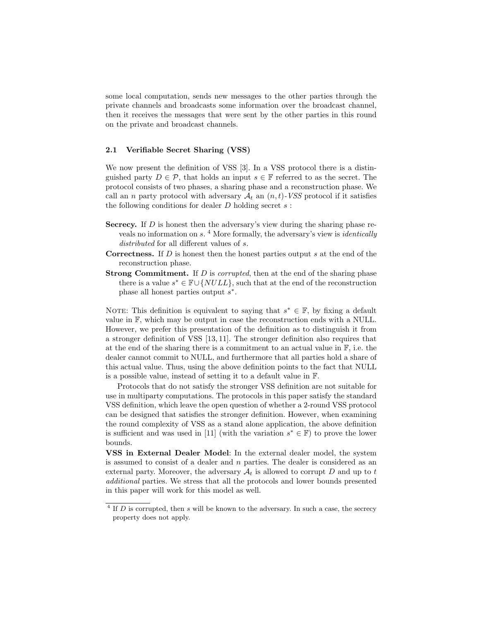some local computation, sends new messages to the other parties through the private channels and broadcasts some information over the broadcast channel, then it receives the messages that were sent by the other parties in this round on the private and broadcast channels.

## 2.1 Verifiable Secret Sharing (VSS)

We now present the definition of VSS [3]. In a VSS protocol there is a distinguished party  $D \in \mathcal{P}$ , that holds an input  $s \in \mathbb{F}$  referred to as the secret. The protocol consists of two phases, a sharing phase and a reconstruction phase. We call an n party protocol with adversary  $\mathcal{A}_t$  an  $(n, t)$ -VSS protocol if it satisfies the following conditions for dealer  $D$  holding secret  $s$ :

- Secrecy. If D is honest then the adversary's view during the sharing phase reveals no information on s.<sup>4</sup> More formally, the adversary's view is *identically* distributed for all different values of s.
- **Correctness.** If  $D$  is honest then the honest parties output  $s$  at the end of the reconstruction phase.
- **Strong Commitment.** If D is *corrupted*, then at the end of the sharing phase there is a value  $s^* \in \mathbb{F} \cup \{NULL\}$ , such that at the end of the reconstruction phase all honest parties output  $s^*$ .

NOTE: This definition is equivalent to saying that  $s^* \in \mathbb{F}$ , by fixing a default value in F, which may be output in case the reconstruction ends with a NULL. However, we prefer this presentation of the definition as to distinguish it from a stronger definition of VSS [13, 11]. The stronger definition also requires that at the end of the sharing there is a commitment to an actual value in  $\mathbb{F}$ , i.e. the dealer cannot commit to NULL, and furthermore that all parties hold a share of this actual value. Thus, using the above definition points to the fact that NULL is a possible value, instead of setting it to a default value in F.

Protocols that do not satisfy the stronger VSS definition are not suitable for use in multiparty computations. The protocols in this paper satisfy the standard VSS definition, which leave the open question of whether a 2-round VSS protocol can be designed that satisfies the stronger definition. However, when examining the round complexity of VSS as a stand alone application, the above definition is sufficient and was used in [11] (with the variation  $s^* \in \mathbb{F}$ ) to prove the lower bounds.

VSS in External Dealer Model: In the external dealer model, the system is assumed to consist of a dealer and n parties. The dealer is considered as an external party. Moreover, the adversary  $A_t$  is allowed to corrupt D and up to t additional parties. We stress that all the protocols and lower bounds presented in this paper will work for this model as well.

 $4$  If D is corrupted, then s will be known to the adversary. In such a case, the secrecy property does not apply.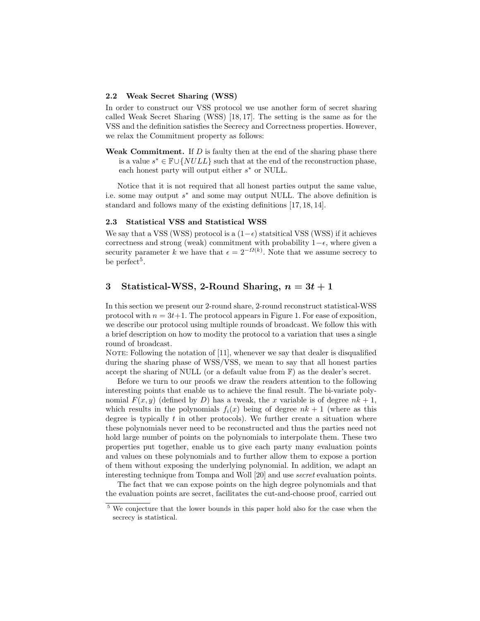## 2.2 Weak Secret Sharing (WSS)

In order to construct our VSS protocol we use another form of secret sharing called Weak Secret Sharing (WSS) [18, 17]. The setting is the same as for the VSS and the definition satisfies the Secrecy and Correctness properties. However, we relax the Commitment property as follows:

Weak Commitment. If  $D$  is faulty then at the end of the sharing phase there is a value  $s^* \in \mathbb{F} \cup \{NULL\}$  such that at the end of the reconstruction phase, each honest party will output either  $s^*$  or NULL.

Notice that it is not required that all honest parties output the same value, i.e. some may output  $s^*$  and some may output NULL. The above definition is standard and follows many of the existing definitions [17, 18, 14].

#### 2.3 Statistical VSS and Statistical WSS

We say that a VSS (WSS) protocol is a  $(1-\epsilon)$  statsitical VSS (WSS) if it achieves correctness and strong (weak) commitment with probability  $1-\epsilon$ , where given a security parameter k we have that  $\epsilon = 2^{-\Omega(k)}$ . Note that we assume secrecy to be perfect<sup>5</sup>.

# 3 Statistical-WSS, 2-Round Sharing,  $n = 3t + 1$

In this section we present our 2-round share, 2-round reconstruct statistical-WSS protocol with  $n = 3t+1$ . The protocol appears in Figure 1. For ease of exposition, we describe our protocol using multiple rounds of broadcast. We follow this with a brief description on how to modity the protocol to a variation that uses a single round of broadcast.

NOTE: Following the notation of  $[11]$ , whenever we say that dealer is disqualified during the sharing phase of WSS/VSS, we mean to say that all honest parties accept the sharing of NULL (or a default value from F) as the dealer's secret.

Before we turn to our proofs we draw the readers attention to the following interesting points that enable us to achieve the final result. The bi-variate polynomial  $F(x, y)$  (defined by D) has a tweak, the x variable is of degree  $nk + 1$ , which results in the polynomials  $f_i(x)$  being of degree  $nk + 1$  (where as this degree is typically  $t$  in other protocols). We further create a situation where these polynomials never need to be reconstructed and thus the parties need not hold large number of points on the polynomials to interpolate them. These two properties put together, enable us to give each party many evaluation points and values on these polynomials and to further allow them to expose a portion of them without exposing the underlying polynomial. In addition, we adapt an interesting technique from Tompa and Woll [20] and use secret evaluation points.

The fact that we can expose points on the high degree polynomials and that the evaluation points are secret, facilitates the cut-and-choose proof, carried out

<sup>5</sup> We conjecture that the lower bounds in this paper hold also for the case when the secrecy is statistical.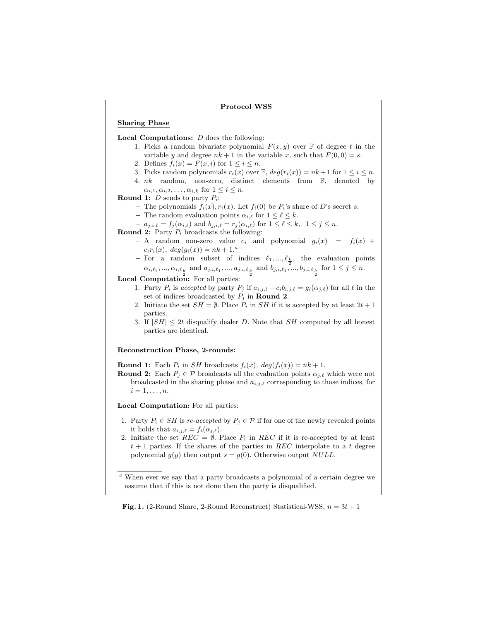#### Protocol WSS

#### Sharing Phase

#### **Local Computations:**  $D$  does the following:

- 1. Picks a random bivariate polynomial  $F(x, y)$  over  $\mathbb F$  of degree t in the variable y and degree  $nk + 1$  in the variable x, such that  $F(0, 0) = s$ .
- 2. Defines  $f_i(x) = F(x, i)$  for  $1 \leq i \leq n$ .
- 3. Picks random polynomials  $r_i(x)$  over  $\mathbb{F}$ ,  $deg(r_i(x)) = nk + 1$  for  $1 \leq i \leq n$ .
- 4. nk random, non-zero, distinct elements from F, denoted by  $\alpha_{i,1}, \alpha_{i,2}, \ldots, \alpha_{i,k}$  for  $1 \leq i \leq n$ .

#### **Round 1:** *D* sends to party  $P_i$ :

- The polynomials  $f_i(x), r_i(x)$ . Let  $f_i(0)$  be  $P_i$ 's share of D's secret s.
- The random evaluation points  $\alpha_{i,\ell}$  for  $1 \leq \ell \leq k$ .
- $a_{j,i,\ell} = f_j (\alpha_{i,\ell})$  and  $b_{j,i,\ell} = r_j (\alpha_{i,\ell})$  for  $1 \leq \ell \leq k, 1 \leq j \leq n$ .
- **Round 2:** Party  $P_i$  broadcasts the following:
	- A random non-zero value  $c_i$  and polynomial  $g_i(x) = f_i(x) +$  $c_i r_i(x), \ deg(g_i(x)) = nk + 1.^a$
	- $-$  For a random subset of indices  $\ell_1, ..., \ell_k$ , the evaluation points  $\alpha_{i,\ell_1}, ..., \alpha_{i,\ell_{\frac{k}{2}}}$  and  $a_{j,i,\ell_1}, ..., a_{j,i,\ell_{\frac{k}{2}}}$  and  $b_{j,i,\ell_1}, ..., b_{j,i,\ell_{\frac{k}{2}}}$  for  $1 \leq j \leq n$ .

#### Local Computation: For all parties:

- 1. Party  $P_i$  is accepted by party  $P_j$  if  $a_{i,j,\ell} + c_i b_{i,j,\ell} = g_i(\alpha_{j,\ell})$  for all  $\ell$  in the set of indices broadcasted by  $P_j$  in **Round 2**.
- 2. Initiate the set  $SH = \emptyset$ . Place  $P_i$  in  $SH$  if it is accepted by at least  $2t + 1$ parties.
- 3. If  $|SH| \leq 2t$  disqualify dealer D. Note that SH computed by all honest parties are identical.

#### Reconstruction Phase, 2-rounds:

**Round 1:** Each  $P_i$  in *SH* broadcasts  $f_i(x)$ ,  $deg(f_i(x)) = nk + 1$ .

**Round 2:** Each  $P_j \in \mathcal{P}$  broadcasts all the evaluation points  $\alpha_{i,\ell}$  which were not broadcasted in the sharing phase and  $a_{i,j,\ell}$  corresponding to those indices, for  $i=1,\ldots,n$ .

## Local Computation: For all parties:

- 1. Party  $P_i \in SH$  is re-accepted by  $P_i \in \mathcal{P}$  if for one of the newly revealed points it holds that  $a_{i,j,\ell} = f_i(\alpha_{j,\ell}).$
- 2. Initiate the set  $REC = \emptyset$ . Place  $P_i$  in REC if it is re-accepted by at least  $t + 1$  parties. If the shares of the parties in REC interpolate to a t degree polynomial  $g(y)$  then output  $s = g(0)$ . Otherwise output NULL.

## **Fig. 1.** (2-Round Share, 2-Round Reconstruct) Statistical-WSS,  $n = 3t + 1$

<sup>a</sup> When ever we say that a party broadcasts a polynomial of a certain degree we assume that if this is not done then the party is disqualified.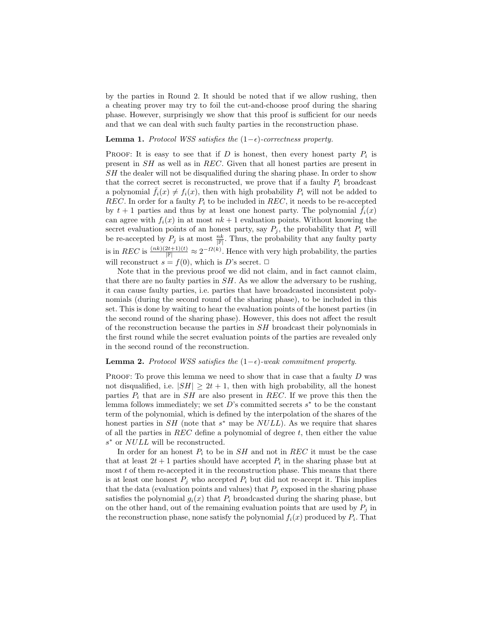by the parties in Round 2. It should be noted that if we allow rushing, then a cheating prover may try to foil the cut-and-choose proof during the sharing phase. However, surprisingly we show that this proof is sufficient for our needs and that we can deal with such faulty parties in the reconstruction phase.

# **Lemma 1.** Protocol WSS satisfies the  $(1-\epsilon)$ -correctness property.

PROOF: It is easy to see that if  $D$  is honest, then every honest party  $P_i$  is present in SH as well as in REC. Given that all honest parties are present in SH the dealer will not be disqualified during the sharing phase. In order to show that the correct secret is reconstructed, we prove that if a faulty  $P_i$  broadcast a polynomial  $\bar{f}_i(x) \neq f_i(x)$ , then with high probability  $P_i$  will not be added to REC. In order for a faulty  $P_i$  to be included in REC, it needs to be re-accepted by  $t + 1$  parties and thus by at least one honest party. The polynomial  $f_i(x)$ can agree with  $f_i(x)$  in at most  $nk + 1$  evaluation points. Without knowing the secret evaluation points of an honest party, say  $P_i$ , the probability that  $P_i$  will be re-accepted by  $P_j$  is at most  $\frac{nk}{\mathbb{F}}$ . Thus, the probability that any faulty party is in REC is  $\frac{(nk)(2t+1)(t)}{|\mathbb{F}|} \approx 2^{-\Omega(k)}$ . Hence with very high probability, the parties will reconstruct  $s = f(0)$ , which is D's secret.  $\Box$ 

Note that in the previous proof we did not claim, and in fact cannot claim, that there are no faulty parties in  $SH$ . As we allow the adversary to be rushing, it can cause faulty parties, i.e. parties that have broadcasted inconsistent polynomials (during the second round of the sharing phase), to be included in this set. This is done by waiting to hear the evaluation points of the honest parties (in the second round of the sharing phase). However, this does not affect the result of the reconstruction because the parties in SH broadcast their polynomials in the first round while the secret evaluation points of the parties are revealed only in the second round of the reconstruction.

#### **Lemma 2.** Protocol WSS satisfies the  $(1-\epsilon)$ -weak commitment property.

PROOF: To prove this lemma we need to show that in case that a faulty D was not disqualified, i.e.  $|SH| \geq 2t + 1$ , then with high probability, all the honest parties  $P_i$  that are in  $SH$  are also present in REC. If we prove this then the lemma follows immediately; we set  $D$ 's committed secrets  $s^*$  to be the constant term of the polynomial, which is defined by the interpolation of the shares of the honest parties in  $SH$  (note that  $s^*$  may be  $NULL$ ). As we require that shares of all the parties in  $REC$  define a polynomial of degree t, then either the value s<sup>\*</sup> or NULL will be reconstructed.

In order for an honest  $P_i$  to be in  $SH$  and not in REC it must be the case that at least  $2t + 1$  parties should have accepted  $P_i$  in the sharing phase but at most  $t$  of them re-accepted it in the reconstruction phase. This means that there is at least one honest  $P_j$  who accepted  $P_i$  but did not re-accept it. This implies that the data (evaluation points and values) that  $P_i$  exposed in the sharing phase satisfies the polynomial  $g_i(x)$  that  $P_i$  broadcasted during the sharing phase, but on the other hand, out of the remaining evaluation points that are used by  $P_i$  in the reconstruction phase, none satisfy the polynomial  $f_i(x)$  produced by  $P_i$ . That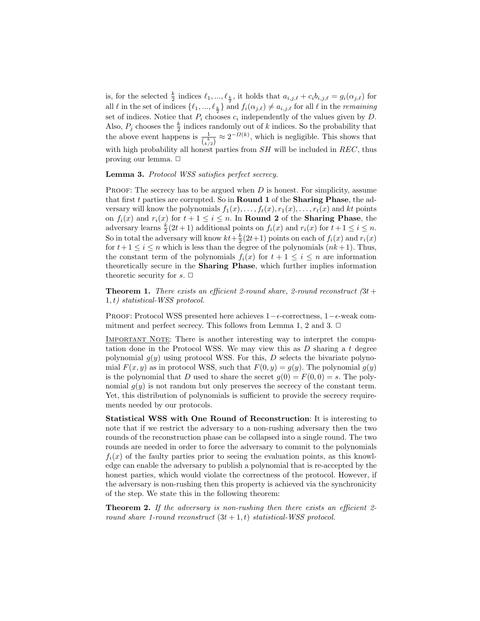is, for the selected  $\frac{k}{2}$  indices  $\ell_1, ..., \ell_{\frac{k}{2}}$ , it holds that  $a_{i,j,\ell} + c_i b_{i,j,\ell} = g_i(\alpha_{j,\ell})$  for all  $\ell$  in the set of indices  $\{\ell_1, ..., \ell_{\frac{k}{2}}\}$  and  $f_i(\alpha_{j,\ell}) \neq a_{i,j,\ell}$  for all  $\ell$  in the *remaining* set of indices. Notice that  $P_i$  chooses  $c_i$  independently of the values given by  $D$ . Also,  $P_j$  chooses the  $\frac{k}{2}$  indices randomly out of k indices. So the probability that the above event happens is  $\frac{1}{\binom{k}{k/2}} \approx 2^{-\Omega(k)}$ , which is negligible. This shows that with high probability all honest parties from  $SH$  will be included in  $REC$ , thus proving our lemma.  $\Box$ 

Lemma 3. Protocol WSS satisfies perfect secrecy.

**PROOF:** The secrecy has to be argued when  $D$  is honest. For simplicity, assume that first t parties are corrupted. So in Round 1 of the Sharing Phase, the adversary will know the polynomials  $f_1(x), \ldots, f_t(x), r_1(x), \ldots, r_t(x)$  and kt points on  $f_i(x)$  and  $r_i(x)$  for  $t + 1 \leq i \leq n$ . In **Round 2** of the **Sharing Phase**, the adversary learns  $\frac{k}{2}(2t+1)$  additional points on  $f_i(x)$  and  $r_i(x)$  for  $t+1 \leq i \leq n$ . So in total the adversary will know  $kt + \frac{k}{2}(2t+1)$  points on each of  $f_i(x)$  and  $r_i(x)$ for  $t+1 \leq i \leq n$  which is less than the degree of the polynomials  $(nk+1)$ . Thus, the constant term of the polynomials  $f_i(x)$  for  $t + 1 \leq i \leq n$  are information theoretically secure in the Sharing Phase, which further implies information theoretic security for  $s. \Box$ 

**Theorem 1.** There exists an efficient 2-round share, 2-round reconstruct  $(3t +$ 1, t) statistical-WSS protocol.

PROOF: Protocol WSS presented here achieves  $1-\epsilon$ -correctness,  $1-\epsilon$ -weak commitment and perfect secrecy. This follows from Lemma 1, 2 and 3.  $\Box$ 

IMPORTANT NOTE: There is another interesting way to interpret the computation done in the Protocol WSS. We may view this as  $D$  sharing a  $t$  degree polynomial  $g(y)$  using protocol WSS. For this, D selects the bivariate polynomial  $F(x, y)$  as in protocol WSS, such that  $F(0, y) = g(y)$ . The polynomial  $g(y)$ is the polynomial that D used to share the secret  $q(0) = F(0, 0) = s$ . The polynomial  $q(y)$  is not random but only preserves the secrecy of the constant term. Yet, this distribution of polynomials is sufficient to provide the secrecy requirements needed by our protocols.

Statistical WSS with One Round of Reconstruction: It is interesting to note that if we restrict the adversary to a non-rushing adversary then the two rounds of the reconstruction phase can be collapsed into a single round. The two rounds are needed in order to force the adversary to commit to the polynomials  $f_i(x)$  of the faulty parties prior to seeing the evaluation points, as this knowledge can enable the adversary to publish a polynomial that is re-accepted by the honest parties, which would violate the correctness of the protocol. However, if the adversary is non-rushing then this property is achieved via the synchronicity of the step. We state this in the following theorem:

**Theorem 2.** If the adversary is non-rushing then there exists an efficient 2round share 1-round reconstruct  $(3t + 1, t)$  statistical-WSS protocol.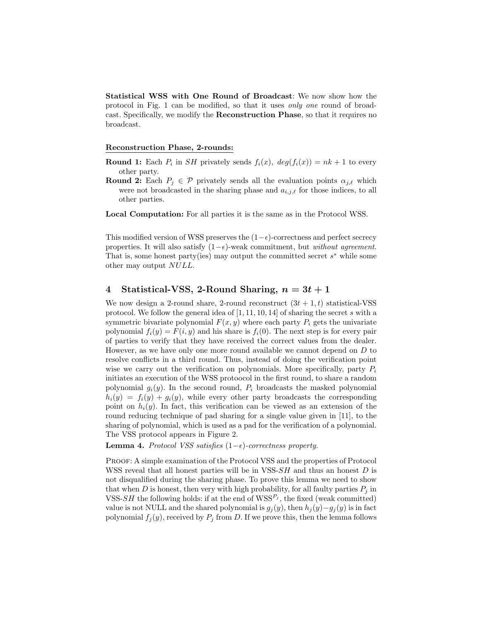Statistical WSS with One Round of Broadcast: We now show how the protocol in Fig. 1 can be modified, so that it uses only one round of broadcast. Specifically, we modify the Reconstruction Phase, so that it requires no broadcast.

## Reconstruction Phase, 2-rounds:

**Round 1:** Each  $P_i$  in *SH* privately sends  $f_i(x)$ ,  $deg(f_i(x)) = nk + 1$  to every other party.

**Round 2:** Each  $P_j \in \mathcal{P}$  privately sends all the evaluation points  $\alpha_{j,\ell}$  which were not broadcasted in the sharing phase and  $a_{i,j,\ell}$  for those indices, to all other parties.

Local Computation: For all parties it is the same as in the Protocol WSS.

This modified version of WSS preserves the  $(1-\epsilon)$ -correctness and perfect secrecy properties. It will also satisfy  $(1-\epsilon)$ -weak commitment, but *without agreement*. That is, some honest party(ies) may output the committed secret  $s^*$  while some other may output NULL.

# 4 Statistical-VSS, 2-Round Sharing,  $n = 3t + 1$

We now design a 2-round share, 2-round reconstruct  $(3t + 1, t)$  statistical-VSS protocol. We follow the general idea of [1, 11, 10, 14] of sharing the secret s with a symmetric bivariate polynomial  $F(x, y)$  where each party  $P_i$  gets the univariate polynomial  $f_i(y) = F(i, y)$  and his share is  $f_i(0)$ . The next step is for every pair of parties to verify that they have received the correct values from the dealer. However, as we have only one more round available we cannot depend on  $D$  to resolve conflicts in a third round. Thus, instead of doing the verification point wise we carry out the verification on polynomials. More specifically, party  $P_i$ initiates an execution of the WSS protoocol in the first round, to share a random polynomial  $g_i(y)$ . In the second round,  $P_i$  broadcasts the masked polynomial  $h_i(y) = f_i(y) + g_i(y)$ , while every other party broadcasts the corresponding point on  $h_i(y)$ . In fact, this verification can be viewed as an extension of the round reducing technique of pad sharing for a single value given in [11], to the sharing of polynomial, which is used as a pad for the verification of a polynomial. The VSS protocol appears in Figure 2.

Lemma 4. Protocol VSS satisfies  $(1−\epsilon)$ -correctness property.

PROOF: A simple examination of the Protocol VSS and the properties of Protocol WSS reveal that all honest parties will be in  $VSS-SH$  and thus an honest  $D$  is not disqualified during the sharing phase. To prove this lemma we need to show that when D is honest, then very with high probability, for all faulty parties  $P_i$  in VSS-SH the following holds: if at the end of  $WSS^{P_j}$ , the fixed (weak committed) value is not NULL and the shared polynomial is  $g_j(y)$ , then  $h_j(y)-g_j(y)$  is in fact polynomial  $f_j(y)$ , received by  $P_j$  from D. If we prove this, then the lemma follows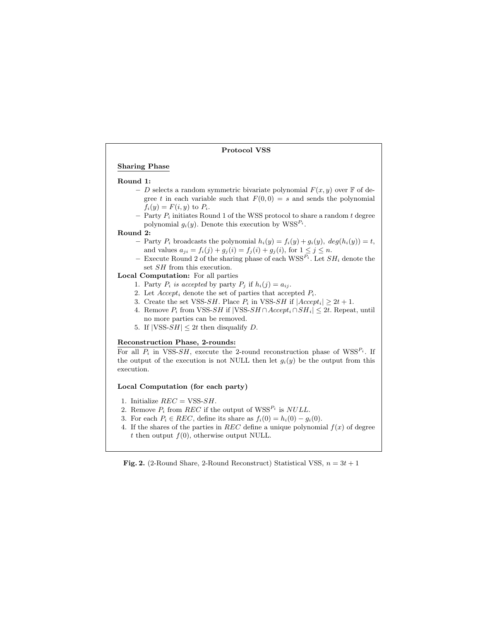## Protocol VSS

## Sharing Phase

#### Round 1:

- D selects a random symmetric bivariate polynomial  $F(x, y)$  over F of degree t in each variable such that  $F(0, 0) = s$  and sends the polynomial  $f_i(y) = F(i, y)$  to  $P_i$ .
- Party  $P_i$  initiates Round 1 of the WSS protocol to share a random  $t$  degree polynomial  $g_i(y)$ . Denote this execution by  $WSS^{P_i}$ .

#### Round 2:

- Party  $P_i$  broadcasts the polynomial  $h_i(y) = f_i(y) + g_i(y)$ ,  $deg(h_i(y)) = t$ , and values  $a_{ji} = f_i(j) + g_j(i) = f_j(i) + g_j(i)$ , for  $1 \le j \le n$ .
- Execute Round 2 of the sharing phase of each  $WSS^{P_i}$ . Let  $SH_i$  denote the set SH from this execution.

## Local Computation: For all parties

- 1. Party  $P_i$  is accepted by party  $P_j$  if  $h_i(j) = a_{ij}$ .
- 2. Let  $Accept_i$  denote the set of parties that accepted  $P_i$ .
- 3. Create the set VSS-SH. Place  $P_i$  in VSS-SH if  $|Accept_i| \geq 2t + 1$ .
- 4. Remove  $P_i$  from VSS-SH if |VSS-SH ∩  $Accept_i \cap SH_i$ |  $\leq 2t$ . Repeat, until no more parties can be removed.
- 5. If  $|VSS-SH| \leq 2t$  then disqualify D.

#### Reconstruction Phase, 2-rounds:

For all  $P_i$  in VSS-SH, execute the 2-round reconstruction phase of WSS<sup> $P_i$ </sup>. If the output of the execution is not NULL then let  $g_i(y)$  be the output from this execution.

#### Local Computation (for each party)

- 1. Initialize  $REC = VSS\text{-}SH$ .
- 2. Remove  $P_i$  from  $REC$  if the output of  $WSS^{P_i}$  is  $NULL$ .
- 3. For each  $P_i \in REC$ , define its share as  $f_i(0) = h_i(0) g_i(0)$ .
- 4. If the shares of the parties in REC define a unique polynomial  $f(x)$  of degree t then output  $f(0)$ , otherwise output NULL.

**Fig. 2.** (2-Round Share, 2-Round Reconstruct) Statistical VSS,  $n = 3t + 1$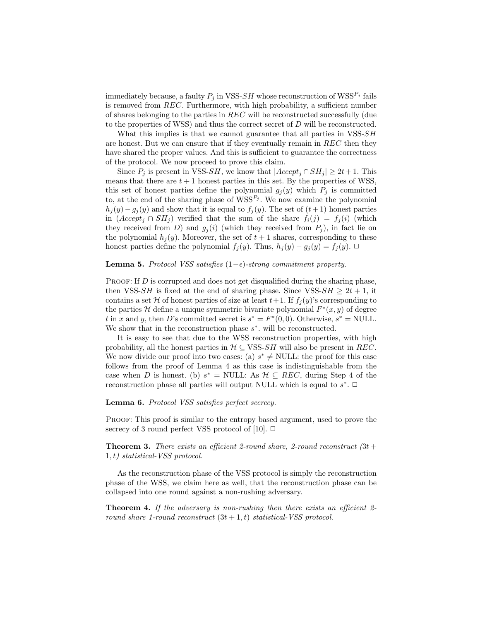immediately because, a faulty  $P_j$  in VSS- $SH$  whose reconstruction of WSS<sup> $P_j$ </sup> fails is removed from REC. Furthermore, with high probability, a sufficient number of shares belonging to the parties in REC will be reconstructed successfully (due to the properties of WSS) and thus the correct secret of D will be reconstructed.

What this implies is that we cannot guarantee that all parties in VSS-SH are honest. But we can ensure that if they eventually remain in  $REC$  then they have shared the proper values. And this is sufficient to guarantee the correctness of the protocol. We now proceed to prove this claim.

Since  $P_i$  is present in VSS-SH, we know that  $|Accept_i \cap SH_i| \geq 2t+1$ . This means that there are  $t + 1$  honest parties in this set. By the properties of WSS, this set of honest parties define the polynomial  $g_i(y)$  which  $P_j$  is committed to, at the end of the sharing phase of  $WSS^{P_j}$ . We now examine the polynomial  $h_j(y) - g_j(y)$  and show that it is equal to  $f_j(y)$ . The set of  $(t+1)$  honest parties in  $(Accept_j \cap SH_j)$  verified that the sum of the share  $f_i(j) = f_j(i)$  (which they received from D) and  $g_j(i)$  (which they received from  $P_j$ ), in fact lie on the polynomial  $h_i(y)$ . Moreover, the set of  $t+1$  shares, corresponding to these honest parties define the polynomial  $f_j(y)$ . Thus,  $h_j(y) - g_j(y) = f_j(y)$ . □

#### Lemma 5. Protocol VSS satisfies  $(1-\epsilon)$ -strong commitment property.

PROOF: If D is corrupted and does not get disqualified during the sharing phase, then VSS-SH is fixed at the end of sharing phase. Since VSS-SH  $\geq 2t + 1$ , it contains a set H of honest parties of size at least  $t+1$ . If  $f_i(y)$ 's corresponding to the parties H define a unique symmetric bivariate polynomial  $F^*(x, y)$  of degree t in x and y, then D's committed secret is  $s^* = F^*(0,0)$ . Otherwise,  $s^* = \text{NULL}$ . We show that in the reconstruction phase  $s^*$ . will be reconstructed.

It is easy to see that due to the WSS reconstruction properties, with high probability, all the honest parties in  $\mathcal{H} \subseteq \text{VSS-}SH$  will also be present in REC. We now divide our proof into two cases: (a)  $s^* \neq \text{NULL}$ : the proof for this case follows from the proof of Lemma 4 as this case is indistinguishable from the case when D is honest. (b)  $s^* = \text{NULL}$ : As  $\mathcal{H} \subseteq$  REC, during Step 4 of the reconstruction phase all parties will output NULL which is equal to  $s^*$ .  $\Box$ 

## Lemma 6. Protocol VSS satisfies perfect secrecy.

Proof: This proof is similar to the entropy based argument, used to prove the secrecy of 3 round perfect VSS protocol of [10].  $\Box$ 

**Theorem 3.** There exists an efficient 2-round share, 2-round reconstruct  $(3t +$  $1, t)$  statistical-VSS protocol.

As the reconstruction phase of the VSS protocol is simply the reconstruction phase of the WSS, we claim here as well, that the reconstruction phase can be collapsed into one round against a non-rushing adversary.

Theorem 4. If the adversary is non-rushing then there exists an efficient 2round share 1-round reconstruct  $(3t + 1, t)$  statistical-VSS protocol.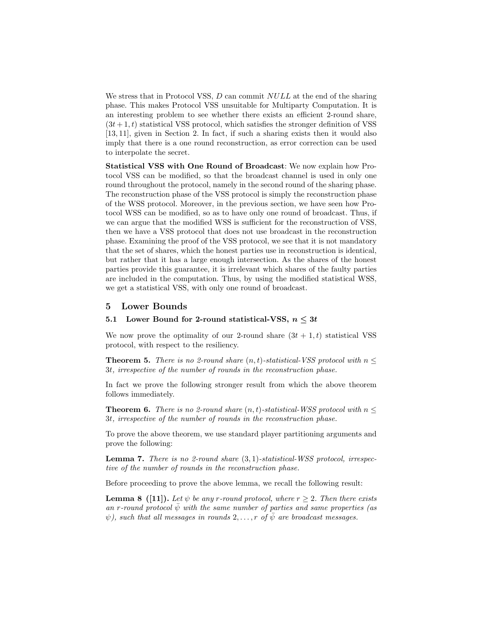We stress that in Protocol VSS,  $D$  can commit  $NULL$  at the end of the sharing phase. This makes Protocol VSS unsuitable for Multiparty Computation. It is an interesting problem to see whether there exists an efficient 2-round share,  $(3t + 1, t)$  statistical VSS protocol, which satisfies the stronger definition of VSS [13, 11], given in Section 2. In fact, if such a sharing exists then it would also imply that there is a one round reconstruction, as error correction can be used to interpolate the secret.

Statistical VSS with One Round of Broadcast: We now explain how Protocol VSS can be modified, so that the broadcast channel is used in only one round throughout the protocol, namely in the second round of the sharing phase. The reconstruction phase of the VSS protocol is simply the reconstruction phase of the WSS protocol. Moreover, in the previous section, we have seen how Protocol WSS can be modified, so as to have only one round of broadcast. Thus, if we can argue that the modified WSS is sufficient for the reconstruction of VSS, then we have a VSS protocol that does not use broadcast in the reconstruction phase. Examining the proof of the VSS protocol, we see that it is not mandatory that the set of shares, which the honest parties use in reconstruction is identical, but rather that it has a large enough intersection. As the shares of the honest parties provide this guarantee, it is irrelevant which shares of the faulty parties are included in the computation. Thus, by using the modified statistical WSS, we get a statistical VSS, with only one round of broadcast.

## 5 Lower Bounds

# 5.1 Lower Bound for 2-round statistical-VSS,  $n \leq 3t$

We now prove the optimality of our 2-round share  $(3t + 1, t)$  statistical VSS protocol, with respect to the resiliency.

**Theorem 5.** There is no 2-round share  $(n, t)$ -statistical-VSS protocol with  $n <$ 3t, irrespective of the number of rounds in the reconstruction phase.

In fact we prove the following stronger result from which the above theorem follows immediately.

**Theorem 6.** There is no 2-round share  $(n, t)$ -statistical-WSS protocol with  $n \leq$ 3t, irrespective of the number of rounds in the reconstruction phase.

To prove the above theorem, we use standard player partitioning arguments and prove the following:

**Lemma 7.** There is no 2-round share  $(3, 1)$ -statistical-WSS protocol, irrespective of the number of rounds in the reconstruction phase.

Before proceeding to prove the above lemma, we recall the following result:

**Lemma 8** ([11]). Let  $\psi$  be any r-round protocol, where  $r > 2$ . Then there exists an r-round protocol  $\bar{\psi}$  with the same number of parties and same properties (as  $\psi$ ), such that all messages in rounds 2,..., r of  $\overline{\psi}$  are broadcast messages.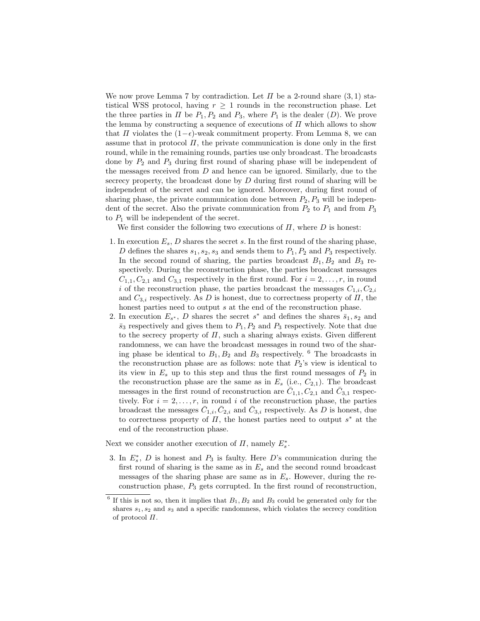We now prove Lemma 7 by contradiction. Let  $\Pi$  be a 2-round share  $(3,1)$  statistical WSS protocol, having  $r \geq 1$  rounds in the reconstruction phase. Let the three parties in  $\Pi$  be  $P_1, P_2$  and  $P_3$ , where  $P_1$  is the dealer  $(D)$ . We prove the lemma by constructing a sequence of executions of  $\Pi$  which allows to show that  $\Pi$  violates the  $(1-\epsilon)$ -weak commitment property. From Lemma 8, we can assume that in protocol  $\Pi$ , the private communication is done only in the first round, while in the remaining rounds, parties use only broadcast. The broadcasts done by  $P_2$  and  $P_3$  during first round of sharing phase will be independent of the messages received from  $D$  and hence can be ignored. Similarly, due to the secrecy property, the broadcast done by  $D$  during first round of sharing will be independent of the secret and can be ignored. Moreover, during first round of sharing phase, the private communication done between  $P_2, P_3$  will be independent of the secret. Also the private communication from  $P_2$  to  $P_1$  and from  $P_3$ to  $P_1$  will be independent of the secret.

We first consider the following two executions of  $\Pi$ , where  $D$  is honest:

- 1. In execution  $E_s$ , D shares the secret s. In the first round of the sharing phase, D defines the shares  $s_1, s_2, s_3$  and sends them to  $P_1, P_2$  and  $P_3$  respectively. In the second round of sharing, the parties broadcast  $B_1, B_2$  and  $B_3$  respectively. During the reconstruction phase, the parties broadcast messages  $C_{1,1}, C_{2,1}$  and  $C_{3,1}$  respectively in the first round. For  $i = 2, \ldots, r$ , in round i of the reconstruction phase, the parties broadcast the messages  $C_{1,i}, C_{2,i}$ and  $C_{3,i}$  respectively. As D is honest, due to correctness property of  $\Pi$ , the honest parties need to output s at the end of the reconstruction phase.
- 2. In execution  $E_{s^*}$ , D shares the secret  $s^*$  and defines the shares  $\bar{s}_1, s_2$  and  $\bar{s}_3$  respectively and gives them to  $P_1, P_2$  and  $P_3$  respectively. Note that due to the secrecy property of  $\Pi$ , such a sharing always exists. Given different randomness, we can have the broadcast messages in round two of the sharing phase be identical to  $B_1, B_2$  and  $B_3$  respectively. <sup>6</sup> The broadcasts in the reconstruction phase are as follows: note that  $P_2$ 's view is identical to its view in  $E_s$  up to this step and thus the first round messages of  $P_2$  in the reconstruction phase are the same as in  $E_s$  (i.e.,  $C_{2,1}$ ). The broadcast messages in the first round of reconstruction are  $\overline{C}_{1,1}, C_{2,1}$  and  $\overline{C}_{3,1}$  respectively. For  $i = 2, \ldots, r$ , in round i of the reconstruction phase, the parties broadcast the messages  $\bar{C}_{1,i}, \bar{C}_{2,i}$  and  $\bar{C}_{3,i}$  respectively. As D is honest, due to correctness property of  $\Pi$ , the honest parties need to output  $s^*$  at the end of the reconstruction phase.

Next we consider another execution of  $\Pi$ , namely  $E_s^*$ .

3. In  $E_s^*$ , D is honest and  $P_3$  is faulty. Here D's communication during the first round of sharing is the same as in  $E_s$  and the second round broadcast messages of the sharing phase are same as in  $E_s$ . However, during the reconstruction phase,  $P_3$  gets corrupted. In the first round of reconstruction,

 $6$  If this is not so, then it implies that  $B_1, B_2$  and  $B_3$  could be generated only for the shares  $s_1, s_2$  and  $s_3$  and a specific randomness, which violates the secrecy condition of protocol Π.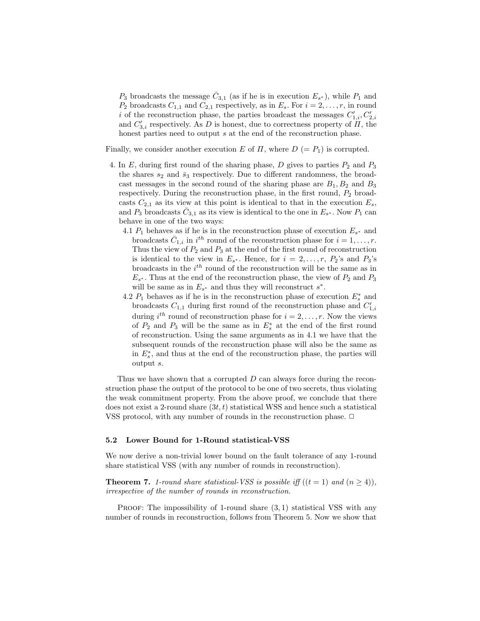$P_3$  broadcasts the message  $\bar{C}_{3,1}$  (as if he is in execution  $E_{s^*}$ ), while  $P_1$  and  $P_2$  broadcasts  $C_{1,1}$  and  $C_{2,1}$  respectively, as in  $E_s$ . For  $i = 2, \ldots, r$ , in round i of the reconstruction phase, the parties broadcast the messages  $C'_{1,i}, C'_{2,i}$ and  $C'_{3,i}$  respectively. As D is honest, due to correctness property of  $H$ , the honest parties need to output  $s$  at the end of the reconstruction phase.

Finally, we consider another execution E of  $\Pi$ , where  $D (= P_1)$  is corrupted.

- 4. In  $E$ , during first round of the sharing phase,  $D$  gives to parties  $P_2$  and  $P_3$ the shares  $s_2$  and  $\bar{s}_3$  respectively. Due to different randomness, the broadcast messages in the second round of the sharing phase are  $B_1, B_2$  and  $B_3$ respectively. During the reconstruction phase, in the first round,  $P_2$  broadcasts  $C_{2,1}$  as its view at this point is identical to that in the execution  $E_s$ , and  $P_3$  broadcasts  $\bar{C}_{3,1}$  as its view is identical to the one in  $E_{s^*}$ . Now  $P_1$  can behave in one of the two ways:
	- 4.1  $P_1$  behaves as if he is in the reconstruction phase of execution  $E_{s^*}$  and broadcasts  $\bar{C}_{1,i}$  in  $i^{th}$  round of the reconstruction phase for  $i = 1, \ldots, r$ . Thus the view of  $P_2$  and  $P_3$  at the end of the first round of reconstruction is identical to the view in  $E_{s^*}$ . Hence, for  $i = 2, \ldots, r$ ,  $P_2$ 's and  $P_3$ 's broadcasts in the  $i^{th}$  round of the reconstruction will be the same as in  $E_{s^*}$ . Thus at the end of the reconstruction phase, the view of  $P_2$  and  $P_3$ will be same as in  $E_{s^*}$  and thus they will reconstruct  $s^*$ .
	- 4.2  $P_1$  behaves as if he is in the reconstruction phase of execution  $E_s^*$  and broadcasts  $C_{1,1}$  during first round of the reconstruction phase and  $C'_{1,i}$ during  $i^{th}$  round of reconstruction phase for  $i = 2, \ldots, r$ . Now the views of  $P_2$  and  $P_3$  will be the same as in  $E_s^*$  at the end of the first round of reconstruction. Using the same arguments as in 4.1 we have that the subsequent rounds of the reconstruction phase will also be the same as in  $E_s^*$ , and thus at the end of the reconstruction phase, the parties will output s.

Thus we have shown that a corrupted  $D$  can always force during the reconstruction phase the output of the protocol to be one of two secrets, thus violating the weak commitment property. From the above proof, we conclude that there does not exist a 2-round share  $(3t, t)$  statistical WSS and hence such a statistical VSS protocol, with any number of rounds in the reconstruction phase.  $\Box$ 

#### 5.2 Lower Bound for 1-Round statistical-VSS

We now derive a non-trivial lower bound on the fault tolerance of any 1-round share statistical VSS (with any number of rounds in reconstruction).

**Theorem 7.** 1-round share statistical-VSS is possible iff  $((t = 1)$  and  $(n \ge 4))$ , irrespective of the number of rounds in reconstruction.

PROOF: The impossibility of 1-round share  $(3,1)$  statistical VSS with any number of rounds in reconstruction, follows from Theorem 5. Now we show that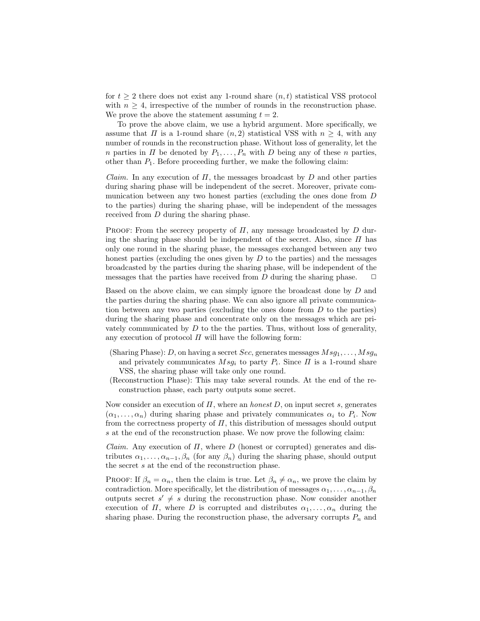for  $t \geq 2$  there does not exist any 1-round share  $(n, t)$  statistical VSS protocol with  $n \geq 4$ , irrespective of the number of rounds in the reconstruction phase. We prove the above the statement assuming  $t = 2$ .

To prove the above claim, we use a hybrid argument. More specifically, we assume that  $\Pi$  is a 1-round share  $(n, 2)$  statistical VSS with  $n \geq 4$ , with any number of rounds in the reconstruction phase. Without loss of generality, let the n parties in  $\Pi$  be denoted by  $P_1, \ldots, P_n$  with D being any of these n parties, other than  $P_1$ . Before proceeding further, we make the following claim:

*Claim.* In any execution of  $\Pi$ , the messages broadcast by  $D$  and other parties during sharing phase will be independent of the secret. Moreover, private communication between any two honest parties (excluding the ones done from D to the parties) during the sharing phase, will be independent of the messages received from D during the sharing phase.

PROOF: From the secrecy property of  $\Pi$ , any message broadcasted by  $D$  during the sharing phase should be independent of the secret. Also, since  $\Pi$  has only one round in the sharing phase, the messages exchanged between any two honest parties (excluding the ones given by  $D$  to the parties) and the messages broadcasted by the parties during the sharing phase, will be independent of the messages that the parties have received from D during the sharing phase.  $\Box$ 

Based on the above claim, we can simply ignore the broadcast done by D and the parties during the sharing phase. We can also ignore all private communication between any two parties (excluding the ones done from  $D$  to the parties) during the sharing phase and concentrate only on the messages which are privately communicated by  $D$  to the the parties. Thus, without loss of generality, any execution of protocol  $\Pi$  will have the following form:

- (Sharing Phase): D, on having a secret Sec, generates messages  $Msg_1, \ldots, Msg_n$ and privately communicates  $Msg_i$  to party  $P_i$ . Since  $\Pi$  is a 1-round share VSS, the sharing phase will take only one round.
- (Reconstruction Phase): This may take several rounds. At the end of the reconstruction phase, each party outputs some secret.

Now consider an execution of  $\Pi$ , where an *honest*  $D$ , on input secret  $s$ , generates  $(\alpha_1, \ldots, \alpha_n)$  during sharing phase and privately communicates  $\alpha_i$  to  $P_i$ . Now from the correctness property of  $\Pi$ , this distribution of messages should output s at the end of the reconstruction phase. We now prove the following claim:

*Claim.* Any execution of  $\Pi$ , where  $D$  (honest or corrupted) generates and distributes  $\alpha_1, \ldots, \alpha_{n-1}, \beta_n$  (for any  $\beta_n$ ) during the sharing phase, should output the secret s at the end of the reconstruction phase.

PROOF: If  $\beta_n = \alpha_n$ , then the claim is true. Let  $\beta_n \neq \alpha_n$ , we prove the claim by contradiction. More specifically, let the distribution of messages  $\alpha_1, \ldots, \alpha_{n-1}, \beta_n$ outputs secret  $s' \neq s$  during the reconstruction phase. Now consider another execution of  $\Pi$ , where  $D$  is corrupted and distributes  $\alpha_1, \ldots, \alpha_n$  during the sharing phase. During the reconstruction phase, the adversary corrupts  $P_n$  and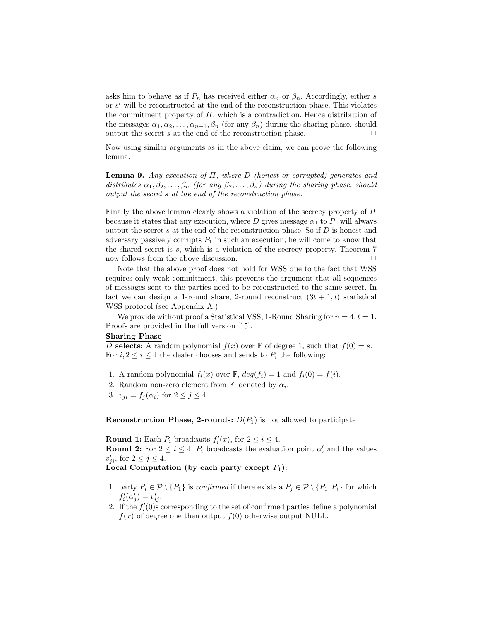asks him to behave as if  $P_n$  has received either  $\alpha_n$  or  $\beta_n$ . Accordingly, either s or  $s'$  will be reconstructed at the end of the reconstruction phase. This violates the commitment property of  $\Pi$ , which is a contradiction. Hence distribution of the messages  $\alpha_1, \alpha_2, \ldots, \alpha_{n-1}, \beta_n$  (for any  $\beta_n$ ) during the sharing phase, should output the secret s at the end of the reconstruction phase.  $\Box$ 

Now using similar arguments as in the above claim, we can prove the following lemma:

**Lemma 9.** Any execution of  $\Pi$ , where  $D$  (honest or corrupted) generates and distributes  $\alpha_1, \beta_2, \ldots, \beta_n$  (for any  $\beta_2, \ldots, \beta_n$ ) during the sharing phase, should output the secret s at the end of the reconstruction phase.

Finally the above lemma clearly shows a violation of the secrecy property of  $\Pi$ because it states that any execution, where D gives message  $\alpha_1$  to  $P_1$  will always output the secret  $s$  at the end of the reconstruction phase. So if  $D$  is honest and adversary passively corrupts  $P_1$  in such an execution, he will come to know that the shared secret is s, which is a violation of the secrecy property. Theorem 7 now follows from the above discussion.  $\Box$ 

Note that the above proof does not hold for WSS due to the fact that WSS requires only weak commitment, this prevents the argument that all sequences of messages sent to the parties need to be reconstructed to the same secret. In fact we can design a 1-round share, 2-round reconstruct  $(3t + 1, t)$  statistical WSS protocol (see Appendix A.)

We provide without proof a Statistical VSS, 1-Round Sharing for  $n = 4, t = 1$ . Proofs are provided in the full version [15].

## Sharing Phase

D selects: A random polynomial  $f(x)$  over F of degree 1, such that  $f(0) = s$ . For  $i, 2 \leq i \leq 4$  the dealer chooses and sends to  $P_i$  the following:

- 1. A random polynomial  $f_i(x)$  over  $\mathbb{F}$ ,  $deg(f_i) = 1$  and  $f_i(0) = f(i)$ .
- 2. Random non-zero element from  $\mathbb{F}$ , denoted by  $\alpha_i$ .
- 3.  $v_{ji} = f_j(\alpha_i)$  for  $2 \leq j \leq 4$ .

**Reconstruction Phase, 2-rounds:**  $D(P_1)$  is not allowed to participate

**Round 1:** Each  $P_i$  broadcasts  $f'_i(x)$ , for  $2 \leq i \leq 4$ . **Round 2:** For  $2 \leq i \leq 4$ ,  $P_i$  broadcasts the evaluation point  $\alpha'_i$  and the values  $v'_{ji}$ , for  $2 \leq j \leq 4$ .

Local Computation (by each party except  $P_1$ ):

- 1. party  $P_i \in \mathcal{P} \setminus \{P_1\}$  is *confirmed* if there exists a  $P_j \in \mathcal{P} \setminus \{P_1, P_i\}$  for which  $f_i'(\alpha'_j) = v'_{ij}.$
- 2. If the  $f_i'(0)$ s corresponding to the set of confirmed parties define a polynomial  $f(x)$  of degree one then output  $f(0)$  otherwise output NULL.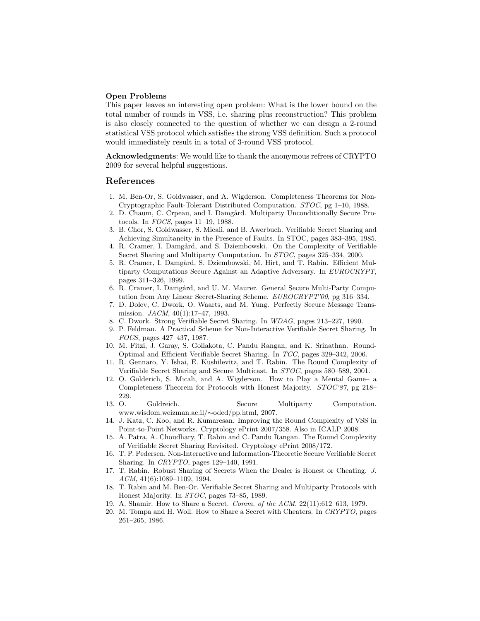## Open Problems

This paper leaves an interesting open problem: What is the lower bound on the total number of rounds in VSS, i.e. sharing plus reconstruction? This problem is also closely connected to the question of whether we can design a 2-round statistical VSS protocol which satisfies the strong VSS definition. Such a protocol would immediately result in a total of 3-round VSS protocol.

Acknowledgments: We would like to thank the anonymous refrees of CRYPTO 2009 for several helpful suggestions.

#### References

- 1. M. Ben-Or, S. Goldwasser, and A. Wigderson. Completeness Theorems for Non-Cryptographic Fault-Tolerant Distributed Computation. STOC, pg 1–10, 1988.
- 2. D. Chaum, C. Crpeau, and I. Damgård. Multiparty Unconditionally Secure Protocols. In FOCS, pages 11–19, 1988.
- 3. B. Chor, S. Goldwasser, S. Micali, and B. Awerbuch. Verifiable Secret Sharing and Achieving Simultaneity in the Presence of Faults. In STOC, pages 383–395, 1985.
- 4. R. Cramer, I. Damgård, and S. Dziembowski. On the Complexity of Verifiable Secret Sharing and Multiparty Computation. In STOC, pages 325–334, 2000.
- 5. R. Cramer, I. Damgård, S. Dziembowski, M. Hirt, and T. Rabin. Efficient Multiparty Computations Secure Against an Adaptive Adversary. In EUROCRYPT, pages 311–326, 1999.
- 6. R. Cramer, I. Damgård, and U. M. Maurer. General Secure Multi-Party Computation from Any Linear Secret-Sharing Scheme. EUROCRYPT'00, pg 316–334.
- 7. D. Dolev, C. Dwork, O. Waarts, and M. Yung. Perfectly Secure Message Transmission. JACM, 40(1):17–47, 1993.
- 8. C. Dwork. Strong Verifiable Secret Sharing. In WDAG, pages 213–227, 1990.
- 9. P. Feldman. A Practical Scheme for Non-Interactive Verifiable Secret Sharing. In FOCS, pages 427–437, 1987.
- 10. M. Fitzi, J. Garay, S. Gollakota, C. Pandu Rangan, and K. Srinathan. Round-Optimal and Efficient Verifiable Secret Sharing. In TCC, pages 329–342, 2006.
- 11. R. Gennaro, Y. Ishai, E. Kushilevitz, and T. Rabin. The Round Complexity of Verifiable Secret Sharing and Secure Multicast. In STOC, pages 580–589, 2001.
- 12. O. Golderich, S. Micali, and A. Wigderson. How to Play a Mental Game– a Completeness Theorem for Protocols with Honest Majority. STOC'87, pg 218– 229.
- 13. O. Goldreich. Secure Multiparty Computation. www.wisdom.weizman.ac.il/∼oded/pp.html, 2007.
- 14. J. Katz, C. Koo, and R. Kumaresan. Improving the Round Complexity of VSS in Point-to-Point Networks. Cryptology ePrint 2007/358. Also in ICALP 2008.
- 15. A. Patra, A. Choudhary, T. Rabin and C. Pandu Rangan. The Round Complexity of Verifiable Secret Sharing Revisited. Cryptology ePrint 2008/172.
- 16. T. P. Pedersen. Non-Interactive and Information-Theoretic Secure Verifiable Secret Sharing. In CRYPTO, pages 129–140, 1991.
- 17. T. Rabin. Robust Sharing of Secrets When the Dealer is Honest or Cheating. J. ACM, 41(6):1089–1109, 1994.
- 18. T. Rabin and M. Ben-Or. Verifiable Secret Sharing and Multiparty Protocols with Honest Majority. In STOC, pages 73–85, 1989.
- 19. A. Shamir. How to Share a Secret. Comm. of the ACM, 22(11):612–613, 1979.
- 20. M. Tompa and H. Woll. How to Share a Secret with Cheaters. In CRYPTO, pages 261–265, 1986.